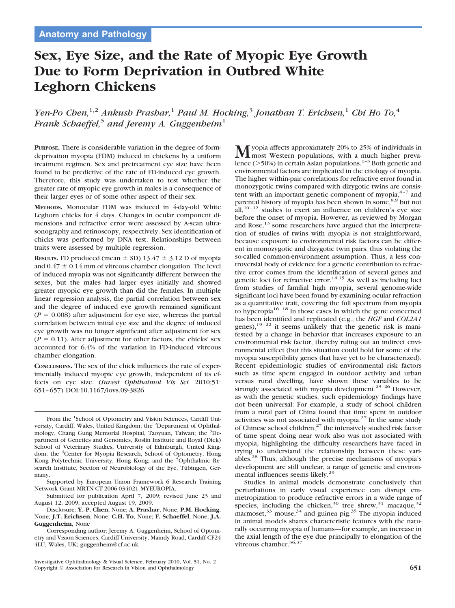# **Sex, Eye Size, and the Rate of Myopic Eye Growth Due to Form Deprivation in Outbred White Leghorn Chickens**

*Yen-Po Chen,*1,2 *Ankush Prashar,*<sup>1</sup> *Paul M. Hocking,*<sup>3</sup> *Jonathan T. Erichsen,*<sup>1</sup> *Chi Ho To,*<sup>4</sup> *Frank Schaeffel,*<sup>5</sup> *and Jeremy A. Guggenheim*<sup>1</sup>

**PURPOSE.** There is considerable variation in the degree of formdeprivation myopia (FDM) induced in chickens by a uniform treatment regimen. Sex and pretreatment eye size have been found to be predictive of the rate of FD-induced eye growth. Therefore, this study was undertaken to test whether the greater rate of myopic eye growth in males is a consequence of their larger eyes or of some other aspect of their sex.

**METHODS.** Monocular FDM was induced in 4-day-old White Leghorn chicks for 4 days. Changes in ocular component dimensions and refractive error were assessed by A-scan ultrasonography and retinoscopy, respectively. Sex identification of chicks was performed by DNA test. Relationships between traits were assessed by multiple regression.

**RESULTS.** FD produced (mean  $\pm$  SD) 13.47  $\pm$  3.12 D of myopia and  $0.47 \pm 0.14$  mm of vitreous chamber elongation. The level of induced myopia was not significantly different between the sexes, but the males had larger eyes initially and showed greater myopic eye growth than did the females. In multiple linear regression analysis, the partial correlation between sex and the degree of induced eye growth remained significant  $(P = 0.008)$  after adjustment for eye size, whereas the partial correlation between initial eye size and the degree of induced eye growth was no longer significant after adjustment for sex  $(P = 0.11)$ . After adjustment for other factors, the chicks' sex accounted for 6.4% of the variation in FD-induced vitreous chamber elongation.

**CONCLUSIONS.** The sex of the chick influences the rate of experimentally induced myopic eye growth, independent of its effects on eye size. (*Invest Ophthalmol Vis Sci.* 2010;51: 651– 657) DOI:10.1167/iovs.09-3826

Submitted for publication April 7, 2009; revised June 23 and August 12, 2009; accepted August 19, 2009.

Disclosure: **Y.-P. Chen**, None; **A. Prashar**, None; **P.M. Hocking**, None; **J.T. Erichsen**, None; **C.H. To**, None; **F. Schaeffel**, None; **J.A. Guggenheim**, None

 $M$ yopia affects approximately 20% to 25% of individuals in<br>https://with.a.much.higher.prevalence ( $>$ 50%) in certain Asian populations.<sup>1-3</sup> Both genetic and environmental factors are implicated in the etiology of myopia. The higher within-pair correlations for refractive error found in monozygotic twins compared with dizygotic twins are consistent with an important genetic component of myopia, $4-7$  and parental history of myopia has been shown in some,<sup>8,9</sup> but not all, $10 - 12$  studies to exert an influence on children's eye size before the onset of myopia. However, as reviewed by Morgan and Rose,<sup>13</sup> some researchers have argued that the interpretation of studies of twins with myopia is not straightforward, because exposure to environmental risk factors can be different in monozygotic and dizygotic twin pairs, thus violating the so-called common-environment assumption. Thus, a less controversial body of evidence for a genetic contribution to refractive error comes from the identification of several genes and genetic loci for refractive error.<sup>14,15</sup> As well as including loci from studies of familial high myopia, several genome-wide significant loci have been found by examining ocular refraction as a quantitative trait, covering the full spectrum from myopia to hyperopia $16 - 18$  In those cases in which the gene concerned has been identified and replicated (e.g., the *HGF* and *COL2A1* genes), $19-22$  it seems unlikely that the genetic risk is manifested by a change in behavior that increases exposure to an environmental risk factor, thereby ruling out an indirect environmental effect (but this situation could hold for some of the myopia susceptibility genes that have yet to be characterized). Recent epidemiologic studies of environmental risk factors such as time spent engaged in outdoor activity and urban versus rural dwelling, have shown these variables to be strongly associated with myopia development.<sup>23-26</sup> However, as with the genetic studies, such epidemiology findings have not been universal: For example, a study of school children from a rural part of China found that time spent in outdoor activities was not associated with myopia.27 In the same study of Chinese school children,<sup>27</sup> the intensively studied risk factor of time spent doing near work also was not associated with myopia, highlighting the difficulty researchers have faced in trying to understand the relationship between these variables.<sup>28</sup> Thus, although the precise mechanisms of myopia's development are still unclear, a range of genetic and environmental influences seems likely.<sup>29</sup>

Studies in animal models demonstrate conclusively that perturbations in early visual experience can disrupt emmetropization to produce refractive errors in a wide range of species, including the chicken,<sup>30</sup> tree shrew,<sup>31</sup> macaque,<sup>32</sup> marmoset,  $33$  mouse,  $34$  and guinea pig.<sup>35</sup> The myopia induced in animal models shares characteristic features with the naturally occurring myopia of humans—for example, an increase in the axial length of the eye due principally to elongation of the vitreous chamber.<sup>36,37</sup>

From the <sup>1</sup>School of Optometry and Vision Sciences, Cardiff University, Cardiff, Wales, United Kingdom; the <sup>2</sup>Department of Ophthalmology, Chang Gung Memorial Hospital, Taoyuan, Taiwan; the <sup>3</sup>Department of Genetics and Genomics, Roslin Institute and Royal (Dick) School of Veterinary Studies, University of Edinburgh, United Kingdom; the <sup>4</sup>Center for Myopia Research, School of Optometry, Hong Kong Polytechnic University, Hong Kong; and the <sup>5</sup>Ophthalmic Research Institute, Section of Neurobiology of the Eye, Tübingen, Germany.

Supported by European Union Framework 6 Research Training Network Grant MRTN-CT-2006-034021 MYEUROPIA.

Corresponding author: Jeremy A. Guggenheim, School of Optometry and Vision Sciences, Cardiff University, Maindy Road, Cardiff CF24 4LU, Wales, UK; guggenheim@cf.ac.uk.

Investigative Ophthalmology & Visual Science, February 2010, Vol. 51, No. 2 Copyright © Association for Research in Vision and Ophthalmology **651**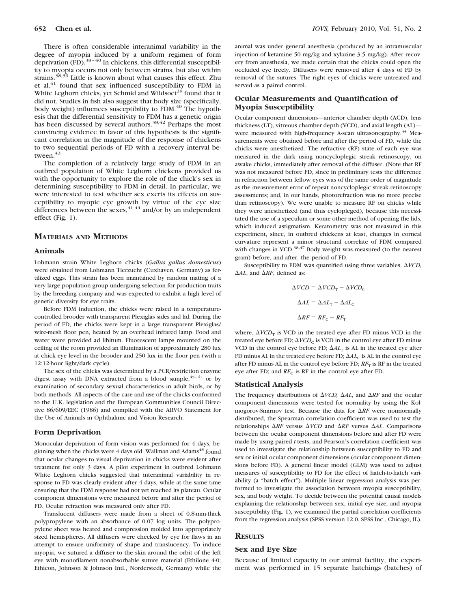There is often considerable interanimal variability in the degree of myopia induced by a uniform regimen of form deprivation (FD).<sup>38-40</sup> In chickens, this differential susceptibility to myopia occurs not only between strains, but also within strains.38,39 Little is known about what causes this effect. Zhu et al.<sup>41</sup> found that sex influenced susceptibility to FDM in White Leghorn chicks, yet Schmid and Wildsoet<sup>39</sup> found that it did not. Studies in fish also suggest that body size (specifically, body weight) influences susceptibility to FDM.<sup>40</sup> The hypothesis that the differential sensitivity to FDM has a genetic origin has been discussed by several authors.<sup>38,42</sup> Perhaps the most convincing evidence in favor of this hypothesis is the significant correlation in the magnitude of the response of chickens to two sequential periods of FD with a recovery interval between.<sup>43</sup>

The completion of a relatively large study of FDM in an outbred population of White Leghorn chickens provided us with the opportunity to explore the role of the chick's sex in determining susceptibility to FDM in detail. In particular, we were interested to test whether sex exerts its effects on susceptibility to myopic eye growth by virtue of the eye size differences between the sexes,  $41,44$  and/or by an independent effect (Fig. 1).

# **MATERIALS AND METHODS**

### **Animals**

Lohmann strain White Leghorn chicks (*Gallus gallus domesticus*) were obtained from Lohmann Tierzucht (Cuxhaven, Germany) as fertilized eggs. This strain has been maintained by random mating of a very large population group undergoing selection for production traits by the breeding company and was expected to exhibit a high level of genetic diversity for eye traits.

Before FDM induction, the chicks were raised in a temperaturecontrolled brooder with transparent Plexiglas sides and lid. During the period of FD, the chicks were kept in a large transparent Plexiglas/ wire-mesh floor pen, heated by an overhead infrared lamp. Food and water were provided ad libitum. Fluorescent lamps mounted on the ceiling of the room provided an illumination of approximately 280 lux at chick eye level in the brooder and 250 lux in the floor pen (with a 12:12-hour light/dark cycle).

The sex of the chicks was determined by a PCR/restriction enzyme digest assay with DNA extracted from a blood sample,  $45-47$  or by examination of secondary sexual characteristics in adult birds, or by both methods. All aspects of the care and use of the chicks conformed to the U.K. legislation and the European Communities Council Directive 86/609/EEC (1986) and complied with the ARVO Statement for the Use of Animals in Ophthalmic and Vision Research.

## **Form Deprivation**

Monocular deprivation of form vision was performed for 4 days, beginning when the chicks were 4 days old. Wallman and Adams<sup>48</sup> found that ocular changes to visual deprivation in chicks were evident after treatment for only 3 days. A pilot experiment in outbred Lohmann White Leghorn chicks suggested that interanimal variability in response to FD was clearly evident after 4 days, while at the same time ensuring that the FDM response had not yet reached its plateau. Ocular component dimensions were measured before and after the period of FD. Ocular refraction was measured only after FD.

Translucent diffusers were made from a sheet of 0.8-mm-thick polypropylene with an absorbance of 0.07 log units. The polypropylene sheet was heated and compression molded into appropriately sized hemispheres. All diffusers were checked by eye for flaws in an attempt to ensure uniformity of shape and translucency. To induce myopia, we sutured a diffuser to the skin around the orbit of the left eye with monofilament nonabsorbable suture material (Ethilone 4-0; Ethicon, Johnson & Johnson Intl., Norderstedt, Germany) while the

animal was under general anesthesia (produced by an intramuscular injection of ketamine 50 mg/kg and xylazine 3.5 mg/kg). After recovery from anesthesia, we made certain that the chicks could open the occluded eye freely. Diffusers were removed after 4 days of FD by removal of the sutures. The right eyes of chicks were untreated and served as a paired control.

# **Ocular Measurements and Quantification of Myopia Susceptibility**

Ocular component dimensions—anterior chamber depth (ACD), lens thickness (LT), vitreous chamber depth (VCD), and axial length (AL) were measured with high-frequency A-scan ultrasonography.<sup>44</sup> Measurements were obtained before and after the period of FD, while the chicks were anesthetized. The refractive (RF) state of each eye was measured in the dark using noncycloplegic streak retinoscopy, on awake chicks, immediately after removal of the diffuser. (Note that RF was not measured before FD, since in preliminary tests the difference in refraction between fellow eyes was of the same order of magnitude as the measurement error of repeat noncycloplegic streak retinoscopy assessments; and, in our hands, photorefraction was no more precise than retinoscopy). We were unable to measure RF on chicks while they were anesthetized (and thus cyclopleged), because this necessitated the use of a speculum or some other method of opening the lids, which induced astigmatism. Keratometry was not measured in this experiment, since, in outbred chickens at least, changes in corneal curvature represent a minor structural correlate of FDM compared with changes in VCD.<sup>38,47</sup> Body weight was measured (to the nearest gram) before, and after, the period of FD.

Susceptibility to FDM was quantified using three variables,  $\Delta VCD$ ,  $\Delta A L$ , and  $\Delta RF$ , defined as:

$$
\Delta VCD = \Delta VCD_{\rm T} - \Delta VCD_{\rm C}
$$

$$
\Delta AL = \Delta AL_{\rm T} - \Delta AL_{\rm C}
$$

$$
\Delta RF = RF_{\rm C} - RF_{\rm T}
$$

where,  $\Delta VCD_T$  is VCD in the treated eye after FD minus VCD in the treated eye before FD;  $\Delta VCD_C$  is VCD in the control eye after FD minus VCD in the control eye before FD;  $\Delta A L_{\text{T}}$  is AL in the treated eye after FD minus AL in the treated eye before FD;  $\Delta A L_C$  is AL in the control eye after FD minus AL in the control eye before FD;  $RF<sub>T</sub>$  is RF in the treated eye after FD; and  $RF<sub>C</sub>$  is RF in the control eye after FD.

## **Statistical Analysis**

The frequency distributions of  $\Delta VCD$ ,  $\Delta A L$ , and  $\Delta RF$  and the ocular component dimensions were tested for normality by using the Kolmogorov-Smirnov test. Because the data for  $\Delta RF$  were nonnormally distributed, the Spearman correlation coefficient was used to test the relationships  $\Delta RF$  versus  $\Delta VCD$  and  $\Delta RF$  versus  $\Delta AL$ . Comparisons between the ocular component dimensions before and after FD were made by using paired *t*-tests, and Pearson's correlation coefficient was used to investigate the relationship between susceptibility to FD and sex or initial ocular component dimensions (ocular component dimensions before FD). A general linear model (GLM) was used to adjust measures of susceptibility to FD for the effect of hatch-to-hatch variability (a "batch effect"). Multiple linear regression analysis was performed to investigate the association between myopia susceptibility, sex, and body weight. To decide between the potential causal models explaining the relationship between sex, initial eye size, and myopia susceptibility (Fig. 1), we examined the partial correlation coefficients from the regression analysis (SPSS version 12.0, SPSS Inc., Chicago, IL).

## **RESULTS**

# **Sex and Eye Size**

Because of limited capacity in our animal facility, the experiment was performed in 15 separate hatchings (batches) of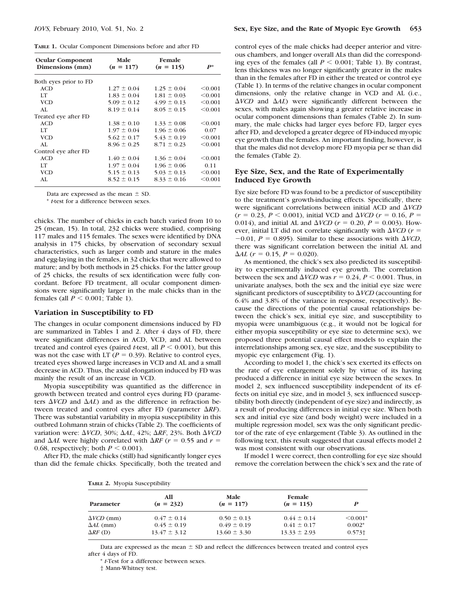**TABLE 1.** Ocular Component Dimensions before and after FD

| <b>Ocular Component</b><br>Dimensions (mm) | Male<br>$(n = 117)$ | Female<br>$(n = 115)$ | $P^*$   |  |
|--------------------------------------------|---------------------|-----------------------|---------|--|
| Both eyes prior to FD                      |                     |                       |         |  |
| <b>ACD</b>                                 | $1.27 \pm 0.04$     | $1.25 \pm 0.04$       | < 0.001 |  |
| LT.                                        | $1.83 \pm 0.04$     | $1.81 \pm 0.03$       | < 0.001 |  |
| <b>VCD</b>                                 | $5.09 \pm 0.12$     | $4.99 \pm 0.13$       | < 0.001 |  |
| AL.                                        | $8.19 \pm 0.14$     | $8.05 \pm 0.15$       | < 0.001 |  |
| Treated eye after FD                       |                     |                       |         |  |
| <b>ACD</b>                                 | $1.38 \pm 0.10$     | $1.33 \pm 0.08$       | < 0.001 |  |
| LT                                         | $1.97 \pm 0.04$     | $1.96 \pm 0.06$       | 0.07    |  |
| <b>VCD</b>                                 | $5.62 \pm 0.17$     | $5.43 \pm 0.19$       | < 0.001 |  |
| AI.                                        | $8.96 \pm 0.25$     | $8.71 \pm 0.23$       | < 0.001 |  |
| Control eye after FD                       |                     |                       |         |  |
| <b>ACD</b>                                 | $1.40 \pm 0.04$     | $1.36 \pm 0.04$       | < 0.001 |  |
| LT                                         | $1.97 \pm 0.04$     | $1.96 \pm 0.06$       | 0.11    |  |
| <b>VCD</b>                                 | $5.15 \pm 0.13$     | $5.03 \pm 0.13$       | < 0.001 |  |
| AI.                                        | $8.52 \pm 0.15$     | $8.33 \pm 0.16$       | < 0.001 |  |
|                                            |                     |                       |         |  |

Data are expressed as the mean  $\pm$  SD.

\* *t*-test for a difference between sexes.

chicks. The number of chicks in each batch varied from 10 to 25 (mean, 15). In total, 232 chicks were studied, comprising 117 males and 115 females. The sexes were identified by DNA analysis in 175 chicks, by observation of secondary sexual characteristics, such as larger comb and stature in the males and egg-laying in the females, in 32 chicks that were allowed to mature; and by both methods in 25 chicks. For the latter group of 25 chicks, the results of sex identification were fully concordant. Before FD treatment, all ocular component dimensions were significantly larger in the male chicks than in the females (all  $P < 0.001$ ; Table 1).

## **Variation in Susceptibility to FD**

The changes in ocular component dimensions induced by FD are summarized in Tables 1 and 2. After 4 days of FD, there were significant differences in ACD, VCD, and AL between treated and control eyes (paired *t*-test, all  $P \leq 0.001$ ), but this was not the case with LT ( $P = 0.39$ ). Relative to control eyes, treated eyes showed large increases in VCD and AL and a small decrease in ACD. Thus, the axial elongation induced by FD was mainly the result of an increase in VCD.

Myopia susceptibility was quantified as the difference in growth between treated and control eyes during FD (parameters  $\Delta VCD$  and  $\Delta A L$ ) and as the difference in refraction between treated and control eyes after FD (parameter  $\Delta RF$ ). There was substantial variability in myopia susceptibility in this outbred Lohmann strain of chicks (Table 2). The coefficients of variation were: *VCD*, 30%; *AL*, 42%; *RF*, 23%. Both *VCD* and  $\Delta A L$  were highly correlated with  $\Delta RF$  ( $r = 0.55$  and  $r =$ 0.68, respectively; both  $P \le 0.001$ ).

After FD, the male chicks (still) had significantly longer eyes than did the female chicks. Specifically, both the treated and control eyes of the male chicks had deeper anterior and vitreous chambers, and longer overall ALs than did the corresponding eyes of the females (all  $P \le 0.001$ ; Table 1). By contrast, lens thickness was no longer significantly greater in the males than in the females after FD in either the treated or control eye (Table 1). In terms of the relative changes in ocular component dimensions, only the relative change in VCD and AL (i.e.,  $\Delta VCD$  and  $\Delta A L$ ) were significantly different between the sexes, with males again showing a greater relative increase in ocular component dimensions than females (Table 2). In summary, the male chicks had larger eyes before FD, larger eyes after FD, and developed a greater degree of FD-induced myopic eye growth than the females. An important finding, however, is that the males did not develop more FD myopia per se than did the females (Table 2).

# **Eye Size, Sex, and the Rate of Experimentally Induced Eye Growth**

Eye size before FD was found to be a predictor of susceptibility to the treatment's growth-inducing effects. Specifically, there were significant correlations between initial ACD and *VCD*  $(r = 0.23, P \le 0.001)$ , initial VCD and  $\Delta VCD$  ( $r = 0.16, P =$ 0.014), and initial AL and  $\Delta VCD$  ( $r = 0.20$ ,  $P = 0.003$ ). However, initial LT did not correlate significantly with  $\Delta VCD$  ( $r =$  $-0.01$ ,  $P = 0.895$ ). Similar to these associations with  $\Delta VCD$ , there was significant correlation between the initial AL and  $\Delta A L$  (*r* = 0.15, *P* = 0.020).

As mentioned, the chick's sex also predicted its susceptibility to experimentally induced eye growth. The correlation between the sex and  $\Delta VCD$  was  $r = 0.24, P \le 0.001$ . Thus, in univariate analyses, both the sex and the initial eye size were significant predictors of susceptibility to  $\Delta VCD$  (accounting for 6.4% and 3.8% of the variance in response, respectively). Because the directions of the potential causal relationships between the chick's sex, initial eye size, and susceptibility to myopia were unambiguous (e.g., it would not be logical for either myopia susceptibility or eye size to determine sex), we proposed three potential causal effect models to explain the interrelationships among sex, eye size, and the susceptibility to myopic eye enlargement (Fig. 1).

According to model 1, the chick's sex exerted its effects on the rate of eye enlargement solely by virtue of its having produced a difference in initial eye size between the sexes. In model 2, sex influenced susceptibility independent of its effects on initial eye size, and in model 3, sex influenced susceptibility both directly (independent of eye size) and indirectly, as a result of producing differences in initial eye size. When both sex and initial eye size (and body weight) were included in a multiple regression model, sex was the only significant predictor of the rate of eye enlargement (Table 3). As outlined in the following text, this result suggested that causal effects model 2 was most consistent with our observations.

If model 1 were correct, then controlling for eye size should remove the correlation between the chick's sex and the rate of

**TABLE 2.** Myopia Susceptibility

| Parameter         | A11<br>$(n = 232)$ | Male<br>$(n = 117)$ | Female<br>$(n = 115)$ | P              |  |
|-------------------|--------------------|---------------------|-----------------------|----------------|--|
| $\Delta VCD$ (mm) | $0.47 \pm 0.14$    | $0.50 \pm 0.13$     | $0.44 \pm 0.14$       | $\leq 0.001*$  |  |
| $\Delta A L$ (mm) | $0.45 \pm 0.19$    | $0.49 \pm 0.19$     | $0.41 \pm 0.17$       | $0.002*$       |  |
| $\Delta RF$ (D)   | $13.47 \pm 3.12$   | $13.60 \pm 3.30$    | $13.33 \pm 2.93$      | $0.573\dagger$ |  |

Data are expressed as the mean  $\pm$  SD and reflect the differences between treated and control eyes after 4 days of FD.

\* *t*-Test for a difference between sexes.

† Mann-Whitney test.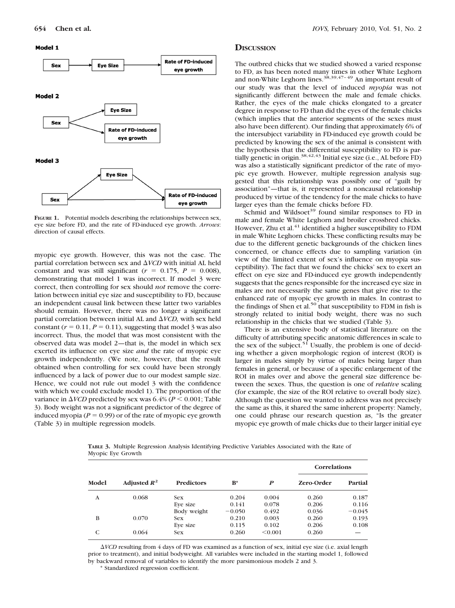

**FIGURE 1.** Potential models describing the relationships between sex, eye size before FD, and the rate of FD-induced eye growth. *Arrows*: direction of causal effects.

myopic eye growth. However, this was not the case. The partial correlation between sex and  $\Delta VCD$  with initial AL held constant and was still significant ( $r = 0.175$ ,  $P = 0.008$ ), demonstrating that model 1 was incorrect. If model 3 were correct, then controlling for sex should *not* remove the correlation between initial eye size and susceptibility to FD, because an independent causal link between these latter two variables should remain. However, there was no longer a significant partial correlation between initial AL and *VCD,* with sex held constant ( $r = 0.11$ ,  $P = 0.11$ ), suggesting that model 3 was also incorrect. Thus, the model that was most consistent with the observed data was model 2—that is, the model in which sex exerted its influence on eye size *and* the rate of myopic eye growth independently. (We note, however, that the result obtained when controlling for sex could have been strongly influenced by a lack of power due to our modest sample size. Hence, we could not rule out model 3 with the confidence with which we could exclude model 1). The proportion of the variance in  $\Delta VCD$  predicted by sex was 6.4% ( $P \le 0.001$ ; Table 3). Body weight was not a significant predictor of the degree of induced myopia ( $P = 0.99$ ) or of the rate of myopic eye growth (Table 3) in multiple regression models.

# **DISCUSSION**

The outbred chicks that we studied showed a varied response to FD, as has been noted many times in other White Leghorn and non-White Leghorn lines.<sup>38,39,47-49</sup> An important result of our study was that the level of induced *myopia* was not significantly different between the male and female chicks. Rather, the eyes of the male chicks elongated to a greater degree in response to FD than did the eyes of the female chicks (which implies that the anterior segments of the sexes must also have been different). Our finding that approximately 6% of the intersubject variability in FD-induced eye growth could be predicted by knowing the sex of the animal is consistent with the hypothesis that the differential susceptibility to FD is partially genetic in origin.<sup>38,42,43</sup> Initial eye size (i.e., AL before FD) was also a statistically significant predictor of the rate of myopic eye growth. However, multiple regression analysis suggested that this relationship was possibly one of "guilt by association"—that is, it represented a noncausal relationship produced by virtue of the tendency for the male chicks to have larger eyes than the female chicks before FD.

Schmid and Wildsoet<sup>39</sup> found similar responses to FD in male and female White Leghorn and broiler crossbred chicks. However, Zhu et al. $41$  identified a higher susceptibility to FDM in male White Leghorn chicks. These conflicting results may be due to the different genetic backgrounds of the chicken lines concerned, or chance effects due to sampling variation (in view of the limited extent of sex's influence on myopia susceptibility). The fact that we found the chicks' sex to exert an effect on eye size and FD-induced eye growth independently suggests that the genes responsible for the increased eye size in males are not necessarily the same genes that give rise to the enhanced rate of myopic eye growth in males. In contrast to the findings of Shen et al.<sup>50</sup> that susceptibility to FDM in fish is strongly related to initial body weight, there was no such relationship in the chicks that we studied (Table 3).

There is an extensive body of statistical literature on the difficulty of attributing specific anatomic differences in scale to the sex of the subject.<sup>51</sup> Usually, the problem is one of deciding whether a given morphologic region of interest (ROI) is larger in males simply by virtue of males being larger than females in general, or because of a specific enlargement of the ROI in males over and above the general size difference between the sexes. Thus, the question is one of *relative* scaling (for example, the size of the ROI relative to overall body size). Although the question we wanted to address was not precisely the same as this, it shared the same inherent property: Namely, one could phrase our research question as, "Is the greater myopic eye growth of male chicks due to their larger initial eye

**TABLE 3.** Multiple Regression Analysis Identifying Predictive Variables Associated with the Rate of Myopic Eye Growth

| Model      | Adjusted $R^2$ | <b>Predictors</b> | $R^*$    | $\boldsymbol{P}$ | <b>Correlations</b> |          |
|------------|----------------|-------------------|----------|------------------|---------------------|----------|
|            |                |                   |          |                  | Zero-Order          | Partial  |
| 0.068<br>A |                | <b>Sex</b>        | 0.204    | 0.004            | 0.260               | 0.187    |
|            |                | Eye size          | 0.141    | 0.078            | 0.206               | 0.116    |
|            |                | Body weight       | $-0.050$ | 0.492            | 0.036               | $-0.045$ |
| B          | 0.070          | <b>Sex</b>        | 0.210    | 0.003            | 0.260               | 0.193    |
|            |                | Eve size          | 0.115    | 0.102            | 0.206               | 0.108    |
| C          | 0.064          | <b>Sex</b>        | 0.260    | < 0.001          | 0.260               |          |

 $\Delta VCD$  resulting from 4 days of FD was examined as a function of sex, initial eye size (i.e. axial length prior to treatment), and initial bodyweight. All variables were included in the starting model 1, followed by backward removal of variables to identify the more parsimonious models 2 and 3.

\* Standardized regression coefficient.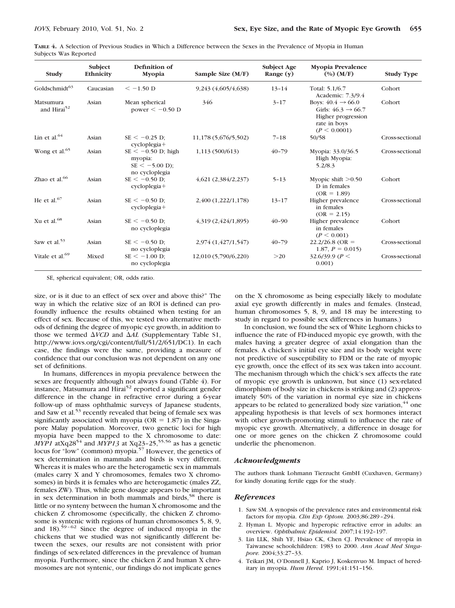| TABLE 4. A Selection of Previous Studies in Which a Difference between the Sexes in the Prevalence of Myopia in Human |  |  |  |  |
|-----------------------------------------------------------------------------------------------------------------------|--|--|--|--|
| Subjects Was Reported                                                                                                 |  |  |  |  |

| Study                                | Subject<br>Ethnicity | Definition of<br>Myopia                                               | Sample Size $(M/F)$     | <b>Subject Age</b><br>Range $(y)$ | <b>Myopia Prevalence</b><br>$(\%)(M/F)$                                                                               | <b>Study Type</b> |
|--------------------------------------|----------------------|-----------------------------------------------------------------------|-------------------------|-----------------------------------|-----------------------------------------------------------------------------------------------------------------------|-------------------|
| Goldschmidt <sup>63</sup>            | Caucasian            | $<-1.50$ D                                                            | 9,243 (4,605/4,638)     | $13 - 14$                         | Total: 5.1/6.7<br>Academic: 7.3/9.4                                                                                   | Cohort            |
| Matsumura<br>and Hirai <sup>52</sup> | Asian                | Mean spherical<br>power $\le$ -0.50 D                                 | 346                     | $3 - 17$                          | Boys: $40.4 \rightarrow 66.0$<br>Girls: $46.3 \rightarrow 66.7$<br>Higher progression<br>rate in boys<br>(P < 0.0001) | Cohort            |
| Lin et al. $64$                      | Asian                | $SE < -0.25$ D;<br>$cycloplegia +$                                    | 11,178 (5,676/5,502)    | $7 - 18$                          | 50/58                                                                                                                 | Cross-sectional   |
| Wong et al. <sup>65</sup>            | Asian                | $SE < -0.50$ D; high<br>myopia:<br>$SE < -5.00$ D);<br>no cycloplegia | 1,113(500/613)          | $40 - 79$                         | Myopia: 33.0/36.5<br>High Myopia:<br>5.2/8.3                                                                          | Cross-sectional   |
| Zhao et al. <sup>66</sup>            | Asian                | $SE < -0.50$ D;<br>$c$ vcloplegia +                                   | $4,621$ $(2,384/2,237)$ | $5 - 13$                          | Myopic shift $>0.50$<br>D in females<br>$(OR = 1.89)$                                                                 | Cohort            |
| He et al. $67$                       | Asian                | $SE < -0.50$ D;<br>$cycloplegia+$                                     | 2,400 (1,222/1,178)     | $13 - 17$                         | Higher prevalence<br>in females<br>$(OR = 2.15)$                                                                      | Cross-sectional   |
| Xu et al. <sup>68</sup>              | Asian                | $SE < -0.50$ D:<br>no cycloplegia                                     | 4,319(2,424/1,895)      | $40 - 90$                         | Higher prevalence<br>in females<br>(P < 0.001)                                                                        | Cohort            |
| Saw et al. <sup>53</sup>             | Asian                | $SE < -0.50$ D;<br>no cycloplegia                                     | 2,974 (1,427/1,547)     | $40 - 79$                         | $22.2/26.8$ (OR =<br>1.87, $P = 0.015$                                                                                | Cross-sectional   |
| Vitale et al. <sup>69</sup>          | Mixed                | $SE < -1.00$ D;<br>no cycloplegia                                     | 12,010 (5,790/6,220)    | >20                               | $32.6/39.9$ (P $\leq$<br>0.001)                                                                                       | Cross-sectional   |

SE, spherical equivalent; OR, odds ratio.

size, or is it due to an effect of sex over and above this?" The way in which the relative size of an ROI is defined can profoundly influence the results obtained when testing for an effect of sex. Because of this, we tested two alternative methods of defining the degree of myopic eye growth, in addition to those we termed  $\Delta VCD$  and  $\Delta AL$  (Supplementary Table S1, http://www.iovs.org/cgi/content/full/51/2/651/DC1). In each case, the findings were the same, providing a measure of confidence that our conclusion was not dependent on any one set of definitions.

In humans, differences in myopia prevalence between the sexes are frequently although not always found (Table 4). For instance, Matsumura and Hirai<sup>52</sup> reported a significant gender difference in the change in refractive error during a 6-year follow-up of mass ophthalmic surveys of Japanese students, and Saw et al.<sup>53</sup> recently revealed that being of female sex was significantly associated with myopia ( $OR = 1.87$ ) in the Singapore Malay population. Moreover, two genetic loci for high myopia have been mapped to the X chromosome to date:  $MYP1$  atXq28<sup>54</sup> and  $MYP13$  at Xq23-25,<sup>55,56</sup> as has a genetic locus for "low" (common) myopia.<sup>57</sup> However, the genetics of sex determination in mammals and birds is very different. Whereas it is males who are the heterogametic sex in mammals (males carry X and Y chromosomes, females two X chromosomes) in birds it is females who are heterogametic (males ZZ, females ZW). Thus, while gene dosage appears to be important in sex determination in both mammals and birds,<sup>58</sup> there is little or no synteny between the human X chromosome and the chicken Z chromosome (specifically, the chicken Z chromosome is syntenic with regions of human chromosomes 5, 8, 9, and  $18$ ).<sup>59-62</sup> Since the degree of induced myopia in the chickens that we studied was not significantly different between the sexes, our results are not consistent with prior findings of sex-related differences in the prevalence of human myopia. Furthermore, since the chicken Z and human X chromosomes are not syntenic, our findings do not implicate genes

on the X chromosome as being especially likely to modulate axial eye growth differently in males and females. (Instead, human chromosomes 5, 8, 9, and 18 may be interesting to study in regard to possible sex differences in humans.)

In conclusion, we found the sex of White Leghorn chicks to influence the rate of FD-induced myopic eye growth, with the males having a greater degree of axial elongation than the females. A chicken's initial eye size and its body weight were not predictive of susceptibility to FDM or the rate of myopic eye growth, once the effect of its sex was taken into account. The mechanism through which the chick's sex affects the rate of myopic eye growth is unknown, but since (1) sex-related dimorphism of body size in chickens is striking and (2) approximately 50% of the variation in normal eye size in chickens appears to be related to generalized body size variation,  $44$  one appealing hypothesis is that levels of sex hormones interact with other growth-promoting stimuli to influence the rate of myopic eye growth. Alternatively, a difference in dosage for one or more genes on the chicken Z chromosome could underlie the phenomenon.

#### *Acknowledgments*

The authors thank Lohmann Tierzucht GmbH (Cuxhaven, Germany) for kindly donating fertile eggs for the study.

## *References*

- 1. Saw SM. A synopsis of the prevalence rates and environmental risk factors for myopia. *Clin Exp Optom.* 2003;86:289 –294.
- 2. Hyman L. Myopic and hyperopic refractive error in adults: an overview. *Ophthalmic Epidemiol.* 2007;14:192–197.
- 3. Lin LLK, Shih YF, Hsiao CK, Chen CJ. Prevalence of myopia in Taiwanese schoolchildren: 1983 to 2000. *Ann Acad Med Singapore.* 2004;33:27–33.
- 4. Teikari JM, O'Donnell J, Kaprio J, Koskenvuo M. Impact of hereditary in myopia. *Hum Hered.* 1991;41:151–156.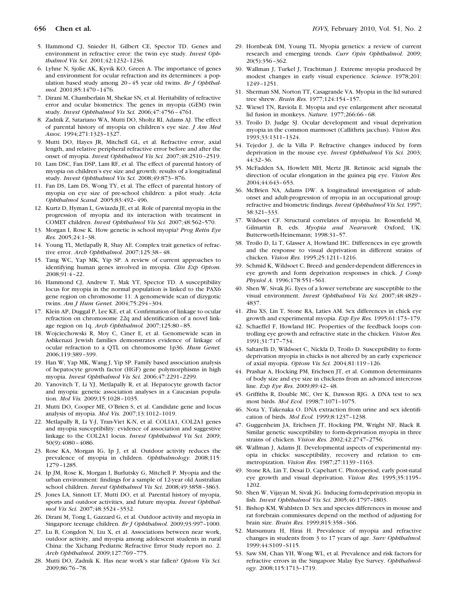- 5. Hammond CJ, Snieder H, Gilbert CE, Spector TD. Genes and environment in refractive error: the twin eye study. *Invest Ophthalmol Vis Sci.* 2001;42:1232–1236.
- 6. Lyhne N, Sjolie AK, Kyvik KO, Green A. The importance of genes and environment for ocular refraction and its determiners: a population based study among 20 – 45 year old twins. *Br J Ophthalmol.* 2001;85:1470 –1476.
- 7. Dirani M, Chamberlain M, Shekar SN, et al. Heritability of refractive error and ocular biometrics: The genes in myopia (GEM) twin study. *Invest Ophthalmol Vis Sci.* 2006;47:4756 – 4761.
- 8. Zadnik Z, Satariano WA, Mutti DO, Sholtz RI, Adams AJ. The effect of parental history of myopia on children's eye size. *J Am Med Assoc.* 1994;271:1323–1327.
- 9. Mutti DO, Hayes JR, Mitchell GL, et al. Refractive error, axial length, and relative peripheral refractive error before and after the onset of myopia. *Invest Ophthalmol Vis Sci.* 2007;48:2510 –2519.
- 10. Lam DSC, Fan DSP, Lam RF, et al. The effect of parental history of myopia on children's eye size and growth: results of a longitudinal study. *Invest Ophthalmol Vis Sci.* 2008;49:873– 876.
- 11. Fan DS, Lam DS, Wong TY, et al. The effect of parental history of myopia on eye size of pre-school children: a pilot study. *Acta Ophthalmol Scand.* 2005;83:492– 496.
- 12. Kurtz D, Hyman L, Gwiazda JE, et al. Role of parental myopia in the progression of myopia and its interaction with treatment in COMET children. *Invest Ophthalmol Vis Sci.* 2007;48:562–570.
- 13. Morgan I, Rose K. How genetic is school myopia? *Prog Retin Eye Res.* 2005;24:1–38.
- 14. Young TL, Metlapally R, Shay AE. Complex trait genetics of refractive error. *Arch Ophthalmol.* 2007;125:38 – 48.
- 15. Tang WC, Yap MK, Yip SP. A review of current approaches to identifying human genes involved in myopia. *Clin Exp Optom.* 2008;91:4 –22.
- 16. Hammond CJ, Andrew T, Mak YT, Spector TD. A susceptibility locus for myopia in the normal population is linked to the PAX6 gene region on chromosome 11: A genomewide scan of dizygotic twins. *Am J Hum Genet.* 2004;75:294 –304.
- 17. Klein AP, Duggal P, Lee KE, et al. Confirmation of linkage to ocular refraction on chromosome 22q and identification of a novel linkage region on 1q. *Arch Ophthalmol.* 2007;125:80 – 85.
- 18. Wojciechowski R, Moy C, Ciner E, et al. Genomewide scan in Ashkenazi Jewish families demonstrates evidence of linkage of ocular refraction to a QTL on chromosome 1p36. *Hum Genet.* 2006;119:389 –399.
- 19. Han W, Yap MK, Wang J, Yip SP. Family based association analysis of hepatocyte growth factor (HGF) gene polymorphisms in high myopia. *Invest Ophthalmol Vis Sci.* 2006;47:2291–2299.
- 20. Yanovitch T, Li YJ, Metlapally R, et al. Hepatocyte growth factor and myopia: genetic association analyses in a Caucasian population. *Mol Vis.* 2009;15:1028 –1035.
- 21. Mutti DO, Cooper ME, O'Brien S, et al. Candidate gene and locus analysis of myopia. *Mol Vis.* 2007;13:1012–1019.
- 22. Metlapally R, Li Y-J, Tran-Viet K-N, et al. COL1A1, COL2A1 genes and myopia susceptibility: evidence of association and suggestive linkage to the COL2A1 locus. *Invest Ophthalmol Vis Sci.* 2009; 50(9):4080 – 4086.
- 23. Rose KA, Morgan IG, Ip J, et al. Outdoor activity reduces the prevalence of myopia in children. *Ophthalmology.* 2008;115: 1279 –1285.
- 24. Ip JM, Rose K, Morgan I, Burlutsky G, Mitchell P. Myopia and the urban environment: findings for a sample of 12-year old Australian school children. *Invest Ophthalmol Vis Sci.* 2008;49:3858 –3863.
- 25. Jones LA, Sinnott LT, Mutti DO, et al. Parental history of myopia, sports and outdoor activities, and future myopia. *Invest Ophthalmol Vis Sci.* 2007;48:3524 –3532.
- 26. Dirani M, Tong L, Gazzard G, et al. Outdoor activity and myopia in Singapore teenage children. *Br J Ophthalmol.* 2009;93:997–1000.
- 27. Lu B, Congdon N, Liu X, et al. Associations between near work, outdoor activity, and myopia among adolescent students in rural China: the Xichang Pediatric Refractive Error Study report no. 2. *Arch Ophthalmol.* 2009;127:769 –775.
- 28. Mutti DO, Zadnik K. Has near work's star fallen? *Optom Vis Sci.* 2009;86:76 –78.
- 29. Hornbeak DM, Young TL. Myopia genetics: a review of current research and emerging trends. *Curr Opin Ophthalmol.* 2009; 20(5):356 –362.
- 30. Wallman J, Turkel J, Trachtman J. Extreme myopia produced by modest changes in early visual experience. *Science.* 1978;201: 1249 –1251.
- 31. Sherman SM, Norton TT, Casagrande VA. Myopia in the lid sutured tree shrew. *Brain Res.* 1977;124:154 –157.
- 32. Wiesel TN, Raviola E. Myopia and eye enlargement after neonatal lid fusion in monkeys. *Nature.* 1977;266:66 – 68.
- 33. Troilo D, Judge SJ. Ocular development and visual deprivation myopia in the common marmoset (Callithrix jacchus). *Vision Res.* 1993;33:1311–1324.
- 34. Tejedor J, de la Villa P. Refractive changes induced by form deprivation in the mouse eye. *Invest Ophthalmol Vis Sci.* 2003; 44:32–36.
- 35. McFadden SA, Howlett MH, Mertz JR. Retinoic acid signals the direction of ocular elongation in the guinea pig eye. *Vision Res.* 2004;44:643– 653.
- 36. McBrien NA, Adams DW. A longitudinal investigation of adultonset and adult-progression of myopia in an occupational group: refractive and biometric findings. *Invest Ophthalmol Vis Sci.* 1997; 38:321–333.
- 37. Wildsoet CF. Structural correlates of myopia. In: Rosenfield M, Gilmartin B, eds. *Myopia and Nearwork.* Oxford, UK: Butterworth-Heinemann; 1998:31–57.
- 38. Troilo D, Li T, Glasser A, Howland HC. Differences in eye growth and the response to visual deprivation in different strains of chicken. *Vision Res.* 1995;25:1211–1216.
- 39. Schmid K, Wildsoet C. Breed- and gender-dependent differences in eye growth and form deprivation responses in chick. *J Comp Physiol A.* 1996;178:551–561.
- 40. Shen W, Sivak JG. Eyes of a lower vertebrate are susceptible to the visual environment. *Invest Ophthalmol Vis Sci.* 2007;48:4829 – 4837.
- 41. Zhu XS, Lin T, Stone RA, Laties AM. Sex differences in chick eye growth and experimental myopia. *Exp Eye Res.* 1995;61:173–179.
- 42. Schaeffel F, Howland HC. Properties of the feedback loops controlling eye growth and refractive state in the chicken. *Vision Res.* 1991;31:717–734.
- 43. Saltarelli D, Wildsoet C, Nickla D, Troilo D. Susceptibility to formdeprivation myopia in chicks is not altered by an early experience of axial myopia. *Optom Vis Sci.* 2004;81:119 –126.
- 44. Prashar A, Hocking PM, Erichsen JT, et al. Common determinants of body size and eye size in chickens from an advanced intercross line. *Exp Eye Res.* 2009;89:42– 48.
- 45. Griffiths R, Double MC, Orr K, Dawson RJG. A DNA test to sex most birds. *Mol Ecol.* 1998;7:1071–1075.
- 46. Nota Y, Takenaka O. DNA extraction from urine and sex identification of birds. *Mol Ecol.* 1999;8:1237–1238.
- 47. Guggenheim JA, Erichsen JT, Hocking PM, Wright NF, Black R. Similar genetic susceptibility to form-deprivation myopia in three strains of chicken. *Vision Res.* 2002;42:2747–2756.
- 48. Wallman J, Adams JI. Developmental aspects of experimental myopia in chicks: susceptibility, recovery and relation to emmetropization. *Vision Res.* 1987;27:1139 –1163.
- 49. Stone RA, Lin T, Desai D, Capehart C. Photoperiod, early post-natal eye growth and visual deprivation. *Vision Res.* 1995;35:1195– 1202.
- 50. Shen W, Vijayan M, Sivak JG. Inducing form-deprivation myopia in fish. *Invest Ophthalmol Vis Sci.* 2005;46:1797–1803.
- 51. Bishop KM, Wahlsten D. Sex and species differences in mouse and rat forebrain commissures depend on the method of adjusting for brain size. *Brain Res.* 1999;815:358 –366.
- 52. Matsumura H, Hirai H. Prevalence of myopia and refractive changes in students from 3 to 17 years of age. *Surv Ophthalmol.* 1999;44:S109 –S115.
- 53. Saw SM, Chan YH, Wong WL, et al. Prevalence and risk factors for refractive errors in the Singapore Malay Eye Survey. *Ophthalmology.* 2008;115:1713–1719.